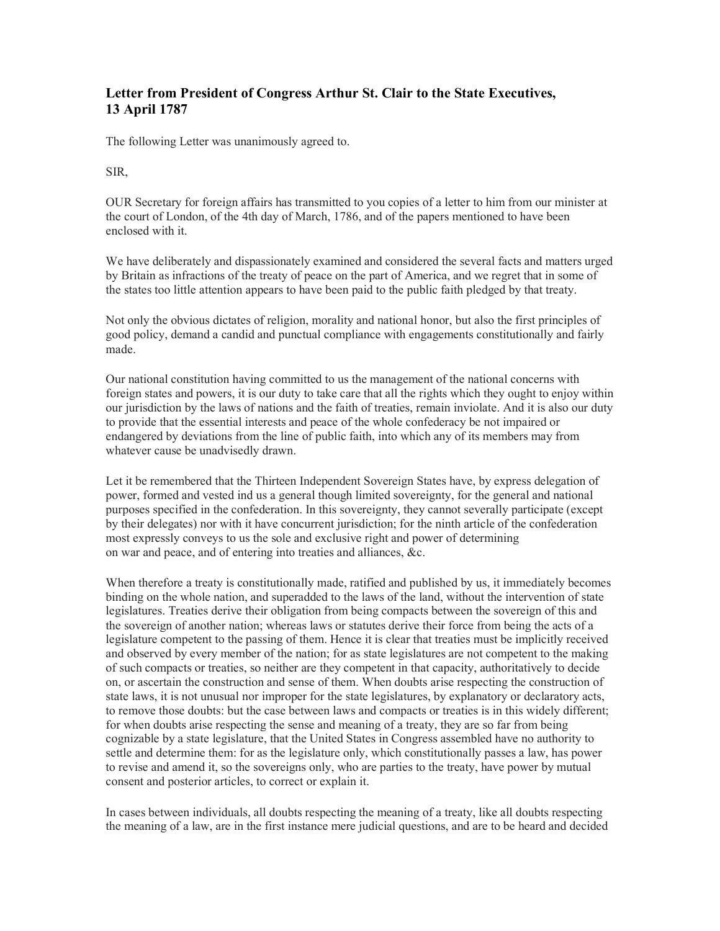## **Letter from President of Congress Arthur St. Clair to the State Executives, 13 April 1787**

The following Letter was unanimously agreed to.

## SIR,

OUR Secretary for foreign affairs has transmitted to you copies of a letter to him from our minister at the court of London, of the 4th day of March, 1786, and of the papers mentioned to have been enclosed with it.

We have deliberately and dispassionately examined and considered the several facts and matters urged by Britain as infractions of the treaty of peace on the part of America, and we regret that in some of the states too little attention appears to have been paid to the public faith pledged by that treaty.

Not only the obvious dictates of religion, morality and national honor, but also the first principles of good policy, demand a candid and punctual compliance with engagements constitutionally and fairly made.

Our national constitution having committed to us the management of the national concerns with foreign states and powers, it is our duty to take care that all the rights which they ought to enjoy within our jurisdiction by the laws of nations and the faith of treaties, remain inviolate. And it is also our duty to provide that the essential interests and peace of the whole confederacy be not impaired or endangered by deviations from the line of public faith, into which any of its members may from whatever cause be unadvisedly drawn.

Let it be remembered that the Thirteen Independent Sovereign States have, by express delegation of power, formed and vested ind us a general though limited sovereignty, for the general and national purposes specified in the confederation. In this sovereignty, they cannot severally participate (except by their delegates) nor with it have concurrent jurisdiction; for the ninth article of the confederation most expressly conveys to us the sole and exclusive right and power of determining on war and peace, and of entering into treaties and alliances, &c.

When therefore a treaty is constitutionally made, ratified and published by us, it immediately becomes binding on the whole nation, and superadded to the laws of the land, without the intervention of state legislatures. Treaties derive their obligation from being compacts between the sovereign of this and the sovereign of another nation; whereas laws or statutes derive their force from being the acts of a legislature competent to the passing of them. Hence it is clear that treaties must be implicitly received and observed by every member of the nation; for as state legislatures are not competent to the making of such compacts or treaties, so neither are they competent in that capacity, authoritatively to decide on, or ascertain the construction and sense of them. When doubts arise respecting the construction of state laws, it is not unusual nor improper for the state legislatures, by explanatory or declaratory acts, to remove those doubts: but the case between laws and compacts or treaties is in this widely different; for when doubts arise respecting the sense and meaning of a treaty, they are so far from being cognizable by a state legislature, that the United States in Congress assembled have no authority to settle and determine them: for as the legislature only, which constitutionally passes a law, has power to revise and amend it, so the sovereigns only, who are parties to the treaty, have power by mutual consent and posterior articles, to correct or explain it.

In cases between individuals, all doubts respecting the meaning of a treaty, like all doubts respecting the meaning of a law, are in the first instance mere judicial questions, and are to be heard and decided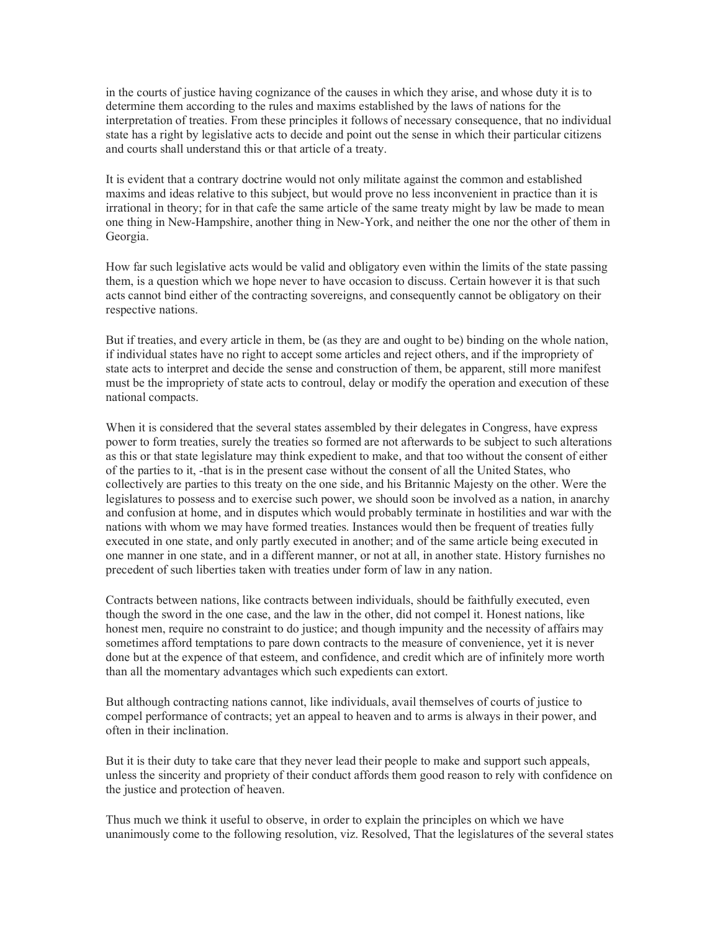in the courts of justice having cognizance of the causes in which they arise, and whose duty it is to determine them according to the rules and maxims established by the laws of nations for the interpretation of treaties. From these principles it follows of necessary consequence, that no individual state has a right by legislative acts to decide and point out the sense in which their particular citizens and courts shall understand this or that article of a treaty.

It is evident that a contrary doctrine would not only militate against the common and established maxims and ideas relative to this subject, but would prove no less inconvenient in practice than it is irrational in theory; for in that cafe the same article of the same treaty might by law be made to mean one thing in New-Hampshire, another thing in New-York, and neither the one nor the other of them in Georgia.

How far such legislative acts would be valid and obligatory even within the limits of the state passing them, is a question which we hope never to have occasion to discuss. Certain however it is that such acts cannot bind either of the contracting sovereigns, and consequently cannot be obligatory on their respective nations.

But if treaties, and every article in them, be (as they are and ought to be) binding on the whole nation, if individual states have no right to accept some articles and reject others, and if the impropriety of state acts to interpret and decide the sense and construction of them, be apparent, still more manifest must be the impropriety of state acts to controul, delay or modify the operation and execution of these national compacts.

When it is considered that the several states assembled by their delegates in Congress, have express power to form treaties, surely the treaties so formed are not afterwards to be subject to such alterations as this or that state legislature may think expedient to make, and that too without the consent of either of the parties to it, -that is in the present case without the consent of all the United States, who collectively are parties to this treaty on the one side, and his Britannic Majesty on the other. Were the legislatures to possess and to exercise such power, we should soon be involved as a nation, in anarchy and confusion at home, and in disputes which would probably terminate in hostilities and war with the nations with whom we may have formed treaties. Instances would then be frequent of treaties fully executed in one state, and only partly executed in another; and of the same article being executed in one manner in one state, and in a different manner, or not at all, in another state. History furnishes no precedent of such liberties taken with treaties under form of law in any nation.

Contracts between nations, like contracts between individuals, should be faithfully executed, even though the sword in the one case, and the law in the other, did not compel it. Honest nations, like honest men, require no constraint to do justice; and though impunity and the necessity of affairs may sometimes afford temptations to pare down contracts to the measure of convenience, yet it is never done but at the expence of that esteem, and confidence, and credit which are of infinitely more worth than all the momentary advantages which such expedients can extort.

But although contracting nations cannot, like individuals, avail themselves of courts of justice to compel performance of contracts; yet an appeal to heaven and to arms is always in their power, and often in their inclination.

But it is their duty to take care that they never lead their people to make and support such appeals, unless the sincerity and propriety of their conduct affords them good reason to rely with confidence on the justice and protection of heaven.

Thus much we think it useful to observe, in order to explain the principles on which we have unanimously come to the following resolution, viz. Resolved, That the legislatures of the several states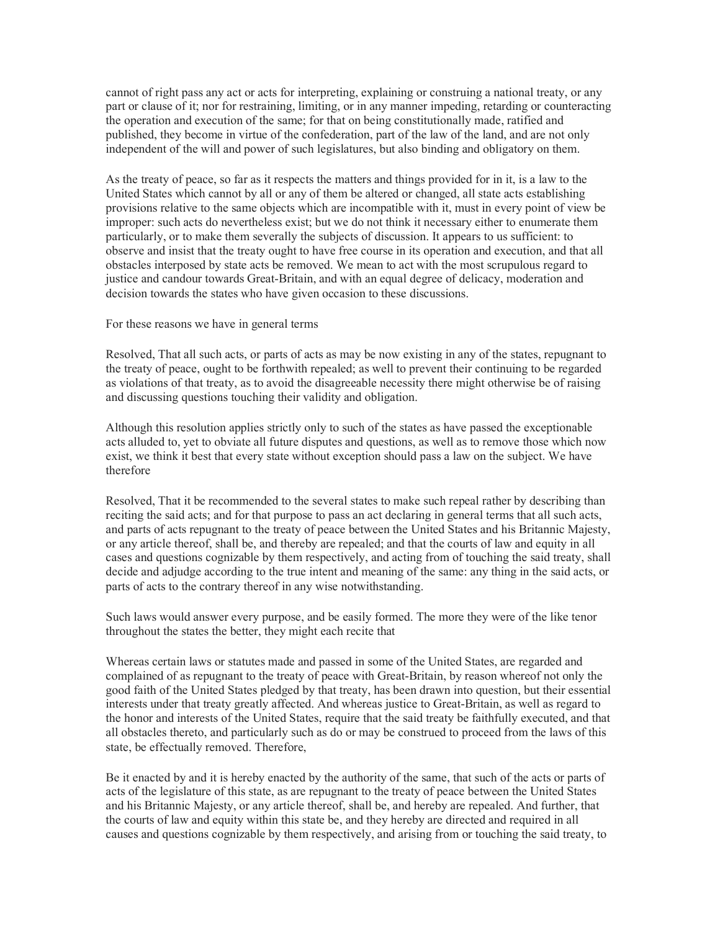cannot of right pass any act or acts for interpreting, explaining or construing a national treaty, or any part or clause of it; nor for restraining, limiting, or in any manner impeding, retarding or counteracting the operation and execution of the same; for that on being constitutionally made, ratified and published, they become in virtue of the confederation, part of the law of the land, and are not only independent of the will and power of such legislatures, but also binding and obligatory on them.

As the treaty of peace, so far as it respects the matters and things provided for in it, is a law to the United States which cannot by all or any of them be altered or changed, all state acts establishing provisions relative to the same objects which are incompatible with it, must in every point of view be improper: such acts do nevertheless exist; but we do not think it necessary either to enumerate them particularly, or to make them severally the subjects of discussion. It appears to us sufficient: to observe and insist that the treaty ought to have free course in its operation and execution, and that all obstacles interposed by state acts be removed. We mean to act with the most scrupulous regard to justice and candour towards Great-Britain, and with an equal degree of delicacy, moderation and decision towards the states who have given occasion to these discussions.

For these reasons we have in general terms

Resolved, That all such acts, or parts of acts as may be now existing in any of the states, repugnant to the treaty of peace, ought to be forthwith repealed; as well to prevent their continuing to be regarded as violations of that treaty, as to avoid the disagreeable necessity there might otherwise be of raising and discussing questions touching their validity and obligation.

Although this resolution applies strictly only to such of the states as have passed the exceptionable acts alluded to, yet to obviate all future disputes and questions, as well as to remove those which now exist, we think it best that every state without exception should pass a law on the subject. We have therefore

Resolved, That it be recommended to the several states to make such repeal rather by describing than reciting the said acts; and for that purpose to pass an act declaring in general terms that all such acts, and parts of acts repugnant to the treaty of peace between the United States and his Britannic Majesty, or any article thereof, shall be, and thereby are repealed; and that the courts of law and equity in all cases and questions cognizable by them respectively, and acting from of touching the said treaty, shall decide and adjudge according to the true intent and meaning of the same: any thing in the said acts, or parts of acts to the contrary thereof in any wise notwithstanding.

Such laws would answer every purpose, and be easily formed. The more they were of the like tenor throughout the states the better, they might each recite that

Whereas certain laws or statutes made and passed in some of the United States, are regarded and complained of as repugnant to the treaty of peace with Great-Britain, by reason whereof not only the good faith of the United States pledged by that treaty, has been drawn into question, but their essential interests under that treaty greatly affected. And whereas justice to Great-Britain, as well as regard to the honor and interests of the United States, require that the said treaty be faithfully executed, and that all obstacles thereto, and particularly such as do or may be construed to proceed from the laws of this state, be effectually removed. Therefore,

Be it enacted by and it is hereby enacted by the authority of the same, that such of the acts or parts of acts of the legislature of this state, as are repugnant to the treaty of peace between the United States and his Britannic Majesty, or any article thereof, shall be, and hereby are repealed. And further, that the courts of law and equity within this state be, and they hereby are directed and required in all causes and questions cognizable by them respectively, and arising from or touching the said treaty, to